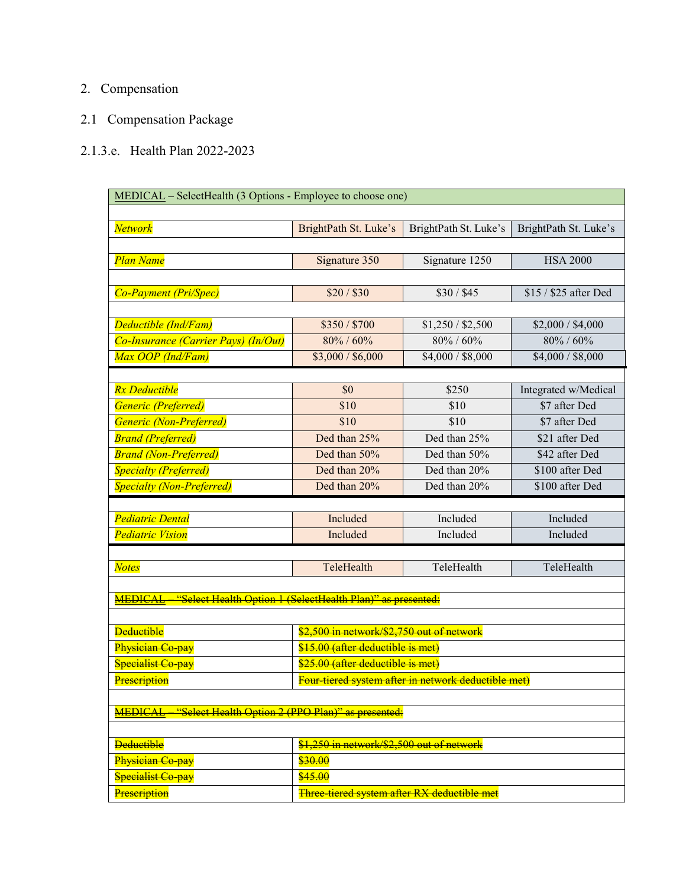## 2. Compensation

## 2.1 Compensation Package

## 2.1.3.e. Health Plan 2022-2023

| MEDICAL - SelectHealth (3 Options - Employee to choose one)         |                                                     |                       |                       |
|---------------------------------------------------------------------|-----------------------------------------------------|-----------------------|-----------------------|
|                                                                     |                                                     |                       |                       |
| <b>Network</b>                                                      | BrightPath St. Luke's                               | BrightPath St. Luke's | BrightPath St. Luke's |
|                                                                     |                                                     |                       |                       |
| Plan Name                                                           | Signature 350                                       | Signature 1250        | <b>HSA 2000</b>       |
|                                                                     |                                                     |                       |                       |
| <b>Co-Payment (Pri/Spec)</b>                                        | \$20 / \$30                                         | \$30/\$45             | \$15 / \$25 after Ded |
|                                                                     |                                                     |                       |                       |
| Deductible (Ind/Fam)                                                | \$350/\$700                                         | \$1,250 / \$2,500     | \$2,000 / \$4,000     |
| Co-Insurance (Carrier Pays) (In/Out)                                | 80% / 60%                                           | 80% / 60%             | 80% / 60%             |
| Max OOP (Ind/Fam)                                                   | \$3,000 / \$6,000                                   | \$4,000 / \$8,000     | \$4,000 / \$8,000     |
|                                                                     |                                                     |                       |                       |
| <b>Rx</b> Deductible                                                | \$0                                                 | \$250                 | Integrated w/Medical  |
| Generic (Preferred)                                                 | \$10                                                | \$10                  | \$7 after Ded         |
| Generic (Non-Preferred)                                             | \$10                                                | \$10                  | \$7 after Ded         |
| <b>Brand (Preferred)</b>                                            | Ded than 25%                                        | Ded than 25%          | \$21 after Ded        |
| <b>Brand (Non-Preferred)</b>                                        | Ded than 50%                                        | Ded than 50%          | \$42 after Ded        |
| <b>Specialty (Preferred)</b>                                        | Ded than 20%                                        | Ded than 20%          | \$100 after Ded       |
| <b>Specialty (Non-Preferred)</b>                                    | Ded than 20%                                        | Ded than 20%          | \$100 after Ded       |
|                                                                     |                                                     |                       |                       |
| <b>Pediatric Dental</b>                                             | Included                                            | Included              | Included              |
| <b>Pediatric Vision</b>                                             | Included                                            | Included              | Included              |
|                                                                     |                                                     |                       |                       |
| <b>Notes</b>                                                        | TeleHealth                                          | TeleHealth            | TeleHealth            |
|                                                                     |                                                     |                       |                       |
| MEDICAL "Select Health Option 1 (SelectHealth Plan)" as presented:  |                                                     |                       |                       |
|                                                                     |                                                     |                       |                       |
| <b>Deductible</b>                                                   | \$2,500 in network/\$2,750 out of network           |                       |                       |
| Physician Co pay                                                    | \$15.00 (after deductible is met)                   |                       |                       |
| Specialist Co-pay                                                   | \$25.00 (after deductible is met)                   |                       |                       |
| Prescription                                                        | Four tiered system after in network deductible met) |                       |                       |
|                                                                     |                                                     |                       |                       |
| "Select Health Option 2 (PPO Plan)" as presented:<br><b>MEDICAL</b> |                                                     |                       |                       |
| <b>Deductible</b>                                                   | \$1,250 in network/\$2,500 out of network           |                       |                       |
| Physician Co-pay                                                    | \$30.00                                             |                       |                       |
| Specialist Co-pay                                                   | \$45.00                                             |                       |                       |
|                                                                     |                                                     |                       |                       |
| Prescription                                                        | Three tiered system after RX deductible met         |                       |                       |